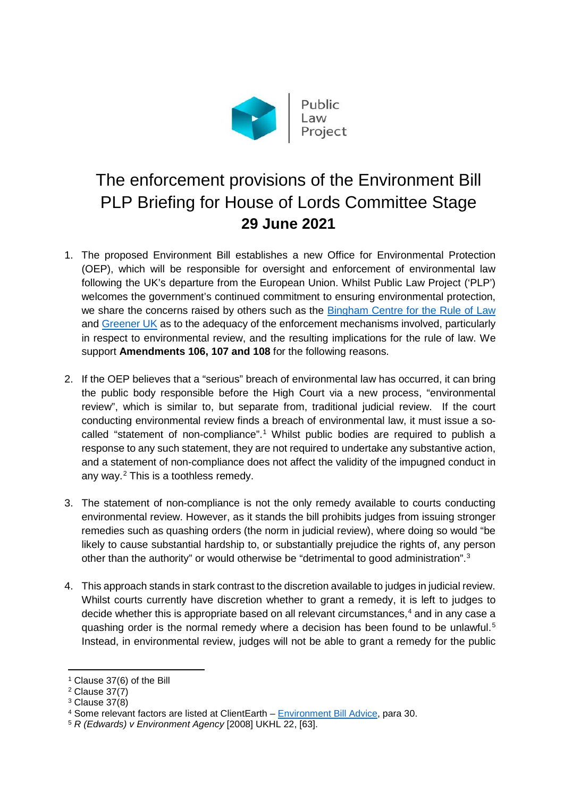

## The enforcement provisions of the Environment Bill PLP Briefing for House of Lords Committee Stage **29 June 2021**

- 1. The proposed Environment Bill establishes a new Office for Environmental Protection (OEP), which will be responsible for oversight and enforcement of environmental law following the UK's departure from the European Union. Whilst Public Law Project ('PLP') welcomes the government's continued commitment to ensuring environmental protection, we share the concerns raised by others such as the [Bingham Centre for the Rule of Law](https://binghamcentre.biicl.org/publications/environment-bill-office-for-environmental-protection-a-rule-of-law-analysis?cookiesset=1&ts=1624957952) and [Greener UK](https://greeneruk.org/sites/default/files/download/2021-06/Environment_Bill_Greener_UK_Link_briefing_Lords_Committee_OEP_enforcement_2.pdf) as to the adequacy of the enforcement mechanisms involved, particularly in respect to environmental review, and the resulting implications for the rule of law. We support **Amendments 106, 107 and 108** for the following reasons.
- 2. If the OEP believes that a "serious" breach of environmental law has occurred, it can bring the public body responsible before the High Court via a new process, "environmental review", which is similar to, but separate from, traditional judicial review. If the court conducting environmental review finds a breach of environmental law, it must issue a socalled "statement of non-compliance". [1](#page-0-0) Whilst public bodies are required to publish a response to any such statement, they are not required to undertake any substantive action, and a statement of non-compliance does not affect the validity of the impugned conduct in any way.[2](#page-0-1) This is a toothless remedy.
- 3. The statement of non-compliance is not the only remedy available to courts conducting environmental review. However, as it stands the bill prohibits judges from issuing stronger remedies such as quashing orders (the norm in judicial review), where doing so would "be likely to cause substantial hardship to, or substantially prejudice the rights of, any person other than the authority" or would otherwise be "detrimental to good administration".<sup>[3](#page-0-2)</sup>
- 4. This approach stands in stark contrast to the discretion available to judges in judicial review. Whilst courts currently have discretion whether to grant a remedy, it is left to judges to decide whether this is appropriate based on all relevant circumstances,<sup>[4](#page-0-3)</sup> and in any case a quashing order is the normal remedy where a decision has been found to be unlawful. [5](#page-0-4) Instead, in environmental review, judges will not be able to grant a remedy for the public

1

<span id="page-0-0"></span><sup>1</sup> Clause 37(6) of the Bill

<span id="page-0-1"></span> $2$  Clause  $37(7)$ 

<span id="page-0-2"></span><sup>3</sup> Clause 37(8)

<span id="page-0-3"></span><sup>4</sup> Some relevant factors are listed at ClientEarth – [Environment Bill Advice,](https://www.clientearth.org/latest/documents/clientearth-environment-bill-advice/) para 30.

<span id="page-0-4"></span><sup>5</sup> *R (Edwards) v Environment Agency* [2008] UKHL 22, [63].